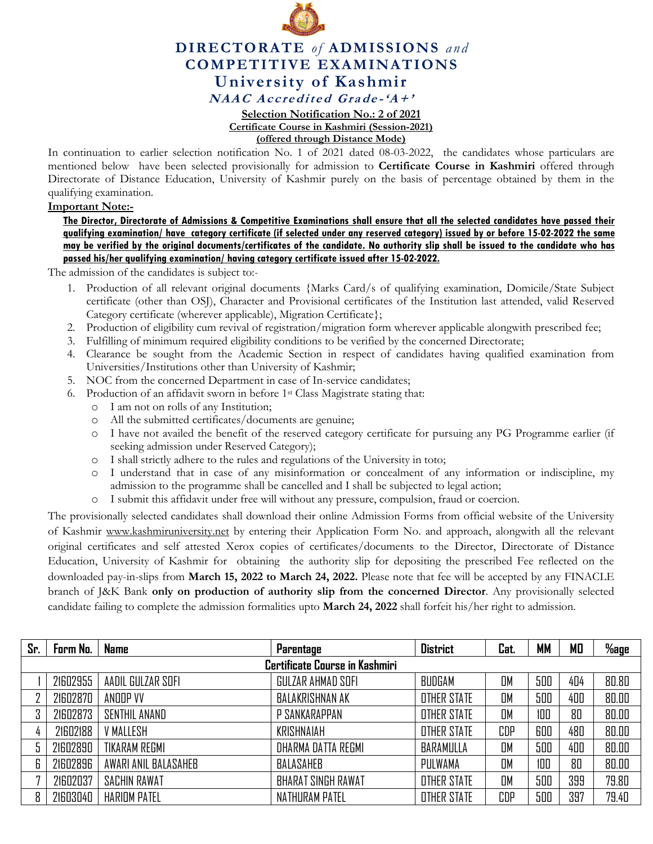

## **DIRECTORATE** *of* **ADMISSIONS** *and* **COMPETITIVE EXAMINATIONS University of Kashmir** NAAC Accredited Grade-'A+'

## **Selection Notification No.: 2 of 2021 Certificate Course in Kashmiri (Session-2021) (offered through Distance Mode)**

In continuation to earlier selection notification No. 1 of 2021 dated 08-03-2022, the candidates whose particulars are mentioned below have been selected provisionally for admission to **Certificate Course in Kashmiri** offered through Directorate of Distance Education, University of Kashmir purely on the basis of percentage obtained by them in the qualifying examination.

## **Important Note:-**

**The Director, Directorate of Admissions & Competitive Examinations shall ensure that all the selected candidates have passed their qualifying examination/ have category certificate (if selected under any reserved category) issued by or before 15-02-2022 the same may be verified by the original documents/certificates of the candidate. No authority slip shall be issued to the candidate who has passed his/her qualifying examination/ having category certificate issued after 15-02-2022.** 

The admission of the candidates is subject to:-

- 1. Production of all relevant original documents {Marks Card/s of qualifying examination, Domicile/State Subject certificate (other than OSJ), Character and Provisional certificates of the Institution last attended, valid Reserved Category certificate (wherever applicable), Migration Certificate};
- 2. Production of eligibility cum revival of registration/migration form wherever applicable alongwith prescribed fee;
- 3. Fulfilling of minimum required eligibility conditions to be verified by the concerned Directorate;
- 4. Clearance be sought from the Academic Section in respect of candidates having qualified examination from Universities/Institutions other than University of Kashmir;
- 5. NOC from the concerned Department in case of In-service candidates;
- 6. Production of an affidavit sworn in before 1st Class Magistrate stating that:
	- o I am not on rolls of any Institution;
	- o All the submitted certificates/documents are genuine;
	- o I have not availed the benefit of the reserved category certificate for pursuing any PG Programme earlier (if seeking admission under Reserved Category);
	- o I shall strictly adhere to the rules and regulations of the University in toto;
	- o I understand that in case of any misinformation or concealment of any information or indiscipline, my admission to the programme shall be cancelled and I shall be subjected to legal action;
	- o I submit this affidavit under free will without any pressure, compulsion, fraud or coercion.

The provisionally selected candidates shall download their online Admission Forms from official website of the University of Kashmir [www.kashmiruniversity.net](http://www.kashmiruniversity.net/) by entering their Application Form No. and approach, alongwith all the relevant original certificates and self attested Xerox copies of certificates/documents to the Director, Directorate of Distance Education, University of Kashmir for obtaining the authority slip for depositing the prescribed Fee reflected on the downloaded pay-in-slips from **March 15, 2022 to March 24, 2022.** Please note that fee will be accepted by any FINACLE branch of J&K Bank **only on production of authority slip from the concerned Director**. Any provisionally selected candidate failing to complete the admission formalities upto **March 24, 2022** shall forfeit his/her right to admission.

| Sr. | Form No.                       | <b>Name</b>          | Parentage                 | <b>District</b>    | Cat.      | <b>MM</b> | МO  | $%$ age |  |
|-----|--------------------------------|----------------------|---------------------------|--------------------|-----------|-----------|-----|---------|--|
|     | Certificate Course in Kashmiri |                      |                           |                    |           |           |     |         |  |
|     | 21602955                       | AADIL GULZAR SOFI    | GULZAR AHMAD SOFI         | BUDGAM             | <b>OM</b> | 500       | 404 | 80.80   |  |
|     | 21602870                       | ANDOP VV             | BALAKRISHNAN AK           | <b>OTHER STATE</b> | OM        | 500       | 400 | 80.00   |  |
| 3   | 21602873                       | SENTHIL ANAND        | P SANKARAPPAN             | <b>OTHER STATE</b> | <b>OM</b> | 100       | 80  | 80.00   |  |
|     | 21602188                       | <b>V MALLESH</b>     | KRISHNAIAH                | <b>OTHER STATE</b> | CDP       | 600       | 480 | 80.00   |  |
|     | 21602890                       | <b>TIKARAM REGMI</b> | DHARMA DATTA REGMI        | BARAMULLA          | <b>OM</b> | 500       | 400 | 80.00   |  |
| 6   | 21602896                       | AWARI ANIL BALASAHEB | BALASAHEB                 | PULWAMA            | <b>DM</b> | 100       | 80  | 80.00   |  |
|     | 21602037                       | <b>SACHIN RAWAT</b>  | <b>BHARAT SINGH RAWAT</b> | <b>OTHER STATE</b> | <b>OM</b> | 500       | 399 | 79.80   |  |
| 8   | 21603040                       | <b>HARIOM PATEL</b>  | NATHURAM PATEL            | <b>OTHER STATE</b> | CDP       | 500       | 397 | 79.40   |  |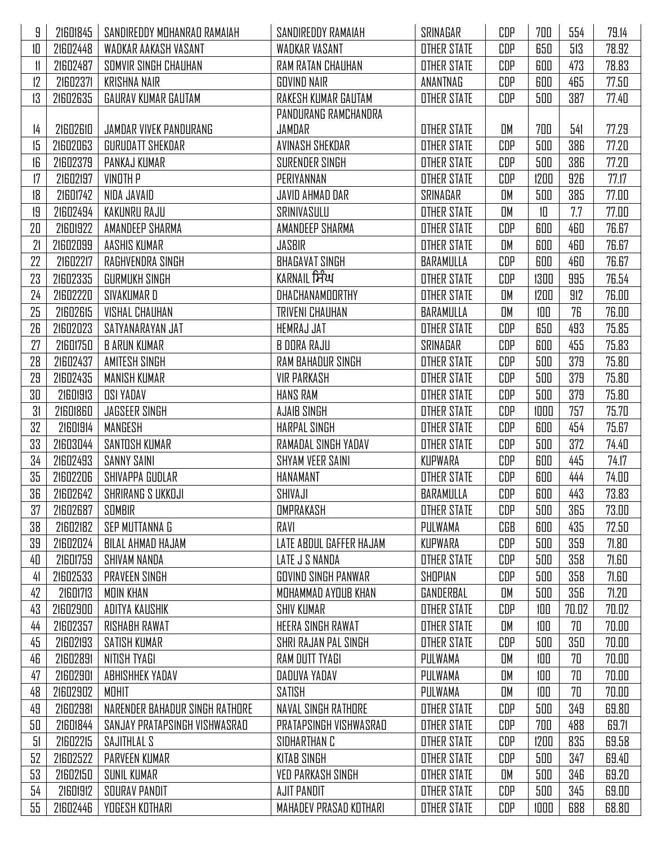| 9  | 21601845 | SANDIREDDY MOHANRAD RAMAIAH    | SANDIREDDY RAMAIAH       | SRINAGAR           | CDP        | 700  | 554   | 79.14 |
|----|----------|--------------------------------|--------------------------|--------------------|------------|------|-------|-------|
| 10 | 21602448 | WADKAR AAKASH VASANT           | WADKAR VASANT            | <b>OTHER STATE</b> | CDP        | 650  | 513   | 78.92 |
| 11 | 21602487 | SOMVIR SINGH CHAUHAN           | RAM RATAN CHAUHAN        | <b>OTHER STATE</b> | CDP        | 600  | 473   | 78.83 |
| 12 | 21602371 | <b>KRISHNA NAIR</b>            | <b>GOVIND NAIR</b>       | ANANTNAG           | CDP        | 600  | 465   | 77.50 |
| 13 | 21602635 | GAURAV KUMAR GAUTAM            | RAKESH KUMAR GAUTAM      | <b>OTHER STATE</b> | CDP        | 500  | 387   | 77.40 |
|    |          |                                | PANDURANG RAMCHANDRA     |                    |            |      |       |       |
| 14 | 21602610 | JAMDAR VIVEK PANDURANG         | JAMDAR                   | <b>OTHER STATE</b> | OM         | 700  | 541   | 77.29 |
| 15 | 21602063 | GURUDATT SHEKDAR               | AVINASH SHEKDAR          | <b>OTHER STATE</b> | CDP        | 500  | 386   | 77.20 |
| 16 | 21602379 | PANKAJ KUMAR                   | SURENDER SINGH           | <b>OTHER STATE</b> | CDP        | 500  | 386   | 77.20 |
| 17 | 21602197 | <b>VINOTH P</b>                | PERIYANNAN               | <b>OTHER STATE</b> | CDP        | 1200 | 926   | 77.17 |
| 18 | 21601742 | NIDA JAVAID                    | JAVID AHMAD DAR          | SRINAGAR           | OM         | 500  | 385   | 77.00 |
| 19 | 21602494 | KAKUNRU RAJU                   | SRINIVASULU              | <b>OTHER STATE</b> | OM         | 10   | 7.7   | 77.00 |
| 20 | 21601922 | AMANDEEP SHARMA                | AMANDEEP SHARMA          | <b>OTHER STATE</b> | CDP        | 600  | 460   | 76.67 |
| 21 | 21602099 | AASHIS KUMAR                   | JASBIR                   | <b>OTHER STATE</b> | OM         | 600  | 460   | 76.67 |
| 22 | 21602217 | RAGHVENDRA SINGH               | <b>BHAGAVAT SINGH</b>    | BARAMULLA          | CDP        | 600  | 460   | 76.67 |
| 23 | 21602335 | GURMUKH SINGH                  | KARNAIL ਸਿੰਘ             | <b>OTHER STATE</b> | CDP        | 1300 | 995   | 76.54 |
| 24 | 21602220 | SIVAKUMAR D                    | DHACHANAMOORTHY          | <b>OTHER STATE</b> | OM         | 1200 | 912   | 76.00 |
| 25 | 21602615 | <b>VISHAL CHAUHAN</b>          | TRIVENI CHAUHAN          | BARAMULLA          | OM         | 100  | 76    | 76.00 |
| 26 | 21602023 | SATYANARAYAN JAT               | HEMRAJ JAT               | <b>OTHER STATE</b> | CDP        | 650  | 493   | 75.85 |
| 27 | 21601750 | <b>B ARUN KUMAR</b>            | B DORA RAJU              | SRINAGAR           | CDP        | 600  | 455   | 75.83 |
| 28 | 21602437 | AMITESH SINGH                  | RAM BAHADUR SINGH        | <b>OTHER STATE</b> | CDP        | 500  | 379   | 75.80 |
| 29 | 21602435 | MANISH KUMAR                   | <b>VIR PARKASH</b>       | <b>OTHER STATE</b> | CDP        | 500  | 379   | 75.80 |
| 30 | 21601913 | <b>OSI YADAV</b>               | HANS RAM                 | <b>OTHER STATE</b> | CDP        | 500  | 379   | 75.80 |
| 31 | 21601860 | <b>JAGSEER SINGH</b>           | AJAIB SINGH              | <b>OTHER STATE</b> | CDP        | 1000 | 757   | 75.70 |
| 32 | 21601914 | MANGESH                        | <b>HARPAL SINGH</b>      | <b>OTHER STATE</b> | CDP        | 600  | 454   | 75.67 |
| 33 | 21603044 | SANTOSH KUMAR                  | RAMADAL SINGH YADAV      | <b>OTHER STATE</b> | CDP        | 500  | 372   | 74.40 |
| 34 | 21602493 | <b>SANNY SAINI</b>             | <b>SHYAM VEER SAINI</b>  | KUPWARA            | CDP        | 600  | 445   | 74.17 |
| 35 | 21602206 | SHIVAPPA GUDLAR                | HANAMANT                 | <b>OTHER STATE</b> | CDP        | 600  | 444   | 74.00 |
| 36 | 21602642 | SHRIRANG S UKKOJI              | SHIVAJI                  | BARAMULLA          | CDP        | 600  | 443   | 73.83 |
| 37 | 21602687 | SOMBIR                         | <b>OMPRAKASH</b>         | <b>OTHER STATE</b> | CDP        | 500  | 365   | 73.00 |
| 38 | 21602182 | SEP MUTTANNA G                 | RAVI                     | PULWAMA            | CGB        | 600  | 435   | 72.50 |
| 39 | 21602024 | BILAL AHMAD HAJAM              | LATE ABDUL GAFFER HAJAM  | KUPWARA            | CDP        | 500  | 359   | 71.80 |
| 40 | 21601759 | SHIVAM NANDA                   | LATE J S NANDA           | <b>OTHER STATE</b> | CDP        | 500  | 358   | 71.60 |
| 41 | 21602533 | PRAVEEN SINGH                  | GOVIND SINGH PANWAR      | SHOPIAN            | CDP        | 500  | 358   | 71.60 |
| 42 | 21601713 | MOIN KHAN                      | MOHAMMAD AYOUB KHAN      | GANDERBAL          | OM         | 500  | 356   | 71.20 |
| 43 | 21602900 | ADITYA KAUSHIK                 | <b>SHIV KUMAR</b>        | OTHER STATE        | CDP        | 100  | 70.02 | 70.02 |
| 44 | 21602357 | RISHABH RAWAT                  | HEERA SINGH RAWAT        | <b>OTHER STATE</b> | OM         | 100  | 70    | 70.00 |
| 45 | 21602193 | SATISH KUMAR                   | SHRI RAJAN PAL SINGH     | <b>OTHER STATE</b> | <b>CDP</b> | 500  | 350   | 70.00 |
| 46 | 21602891 | NITISH TYAGI                   | RAM DUTT TYAGI           | PULWAMA            | OM         | 100  | 70    | 70.00 |
| 47 | 21602901 | ABHISHHEK YADAV                | DADUVA YADAV             | PULWAMA            | OM         | 100  | 70    | 70.00 |
| 48 | 21602902 | MOHIT                          | SATISH                   | PULWAMA            | OM         | 100  | 70    | 70.00 |
| 49 | 21602981 | NARENDER BAHADUR SINGH RATHORE | NAVAL SINGH RATHORE      | <b>OTHER STATE</b> | CDP        | 500  | 349   | 69.80 |
| 50 | 21601844 | SANJAY PRATAPSINGH VISHWASRAD  | PRATAPSINGH VISHWASRAD   | <b>OTHER STATE</b> | CDP        | 700  | 488   | 69.71 |
| 51 | 21602215 | SAJITHLAL S                    | SIDHARTHAN C             | <b>OTHER STATE</b> | CDP        | 1200 | 835   | 69.58 |
| 52 | 21602522 | <b>PARVEEN KUMAR</b>           | <b>KITAB SINGH</b>       | <b>OTHER STATE</b> | CDP        | 500  | 347   | 69.40 |
| 53 | 21602150 | SUNIL KUMAR                    | <b>VED PARKASH SINGH</b> | <b>OTHER STATE</b> | OM         | 500  | 346   | 69.20 |
| 54 | 21601912 | SOURAV PANDIT                  | AJIT PANDIT              | <b>OTHER STATE</b> | CDP        | 500  | 345   | 69.00 |
| 55 | 21602446 | YOGESH KOTHARI                 | MAHADEV PRASAD KOTHARI   | <b>OTHER STATE</b> | CDP        | 1000 | 688   | 68.80 |
|    |          |                                |                          |                    |            |      |       |       |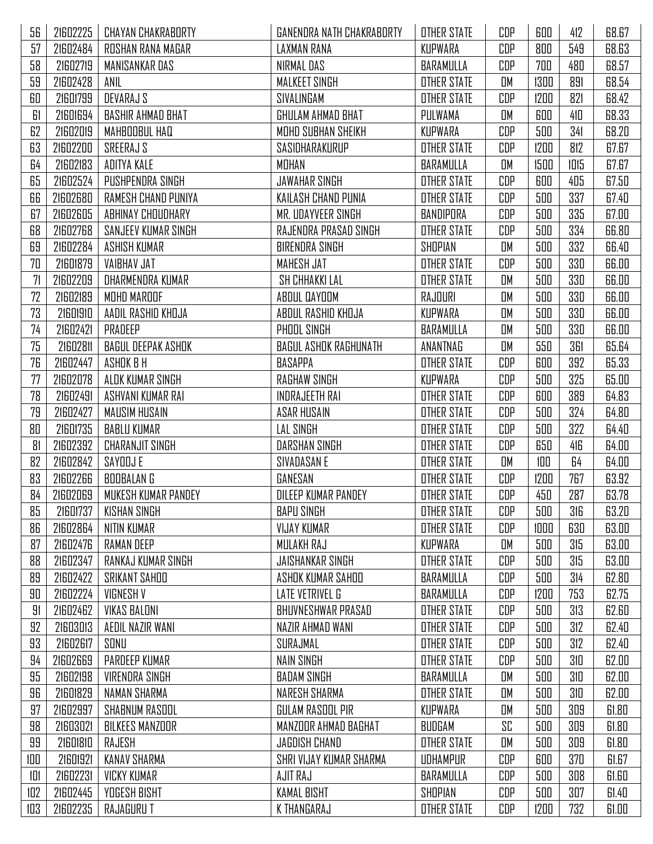| 56  | 21602225 | <b>CHAYAN CHAKRABORTY</b> | GANENDRA NATH CHAKRABORTY | <b>OTHER STATE</b> | CDP | 600  | 412  | 68.67 |
|-----|----------|---------------------------|---------------------------|--------------------|-----|------|------|-------|
| 57  | 21602484 | ROSHAN RANA MAGAR         | LAXMAN RANA               | KUPWARA            | CDP | 800  | 549  | 68.63 |
| 58  | 21602719 | MANISANKAR DAS            | NIRMAL DAS                | BARAMULLA          | CDP | 700  | 480  | 68.57 |
| 59  | 21602428 | ANIL                      | MALKEET SINGH             | <b>OTHER STATE</b> | OM  | 1300 | 891  | 68.54 |
| 60  | 21601799 | DEVARAJ S                 | SIVALINGAM                | <b>OTHER STATE</b> | CDP | 1200 | 821  | 68.42 |
| 61  | 21601694 | <b>BASHIR AHMAD BHAT</b>  | GHULAM AHMAD BHAT         | PULWAMA            | OM  | 600  | 410  | 68.33 |
| 62  | 21602019 | MAHBOOBUL HAQ             | MOHD SUBHAN SHEIKH        | <b>KUPWARA</b>     | CDP | 500  | 341  | 68.20 |
| 63  | 21602200 | SREERAJ S                 | SASIDHARAKURUP            | <b>OTHER STATE</b> | CDP | 1200 | 812  | 67.67 |
| 64  | 21602183 | ADITYA KALE               | MOHAN                     | BARAMULLA          | OM  | 1500 | 1015 | 67.67 |
| 65  | 21602524 | PUSHPENDRA SINGH          | <b>JAWAHAR SINGH</b>      | <b>OTHER STATE</b> | CDP | 600  | 405  | 67.50 |
| 66  | 21602680 | RAMESH CHAND PUNIYA       | KAILASH CHAND PUNIA       | <b>OTHER STATE</b> | CDP | 500  | 337  | 67.40 |
| 67  | 21602605 | ABHINAY CHOUDHARY         | MR. UDAYVEER SINGH        | BANDIPORA          | CDP | 500  | 335  | 67.00 |
| 68  | 21602768 | SANJEEV KUMAR SINGH       | RAJENDRA PRASAD SINGH     | <b>OTHER STATE</b> | CDP | 500  | 334  | 66.80 |
| 69  | 21602284 | ASHISH KUMAR              | <b>BIRENDRA SINGH</b>     | SHOPIAN            | OM  | 500  | 332  | 66.40 |
| 70  | 21601879 | <b>VAIBHAV JAT</b>        | MAHESH JAT                | <b>OTHER STATE</b> | CDP | 500  | 330  | 66.00 |
| 71  | 21602209 | DHARMENDRA KUMAR          | <b>SH CHHAKKI LAL</b>     | <b>OTHER STATE</b> | OM  | 500  | 330  | 66.00 |
| 72  | 21602189 | MOHD MAROOF               | ABDUL QAYOOM              | RAJOURI            | OM  | 500  | 330  | 66.00 |
| 73  | 21601910 | AADIL RASHID KHOJA        | ABDUL RASHID KHOJA        | KUPWARA            | OM  | 500  | 330  | 66.00 |
| 74  | 21602421 | PRADEEP                   | PHOOL SINGH               | BARAMULLA          | OM  | 500  | 330  | 66.00 |
| 75  | 21602811 | BAGUL DEEPAK ASHOK        | BAGUL ASHOK RAGHUNATH     | ANANTNAG           | OM  | 550  | 361  | 65.64 |
| 76  | 21602447 | ASHOK B H                 | BASAPPA                   | <b>OTHER STATE</b> | CDP | 600  | 392  | 65.33 |
| 77  | 21602078 | ALOK KUMAR SINGH          | RAGHAW SINGH              | KUPWARA            | CDP | 500  | 325  | 65.00 |
| 78  | 21602491 | ASHVANI KUMAR RAI         | INDRAJEETH RAI            | <b>OTHER STATE</b> | CDP | 600  | 389  | 64.83 |
| 79  | 21602427 | MAUSIM HUSAIN             | <b>ASAR HUSAIN</b>        | <b>OTHER STATE</b> | CDP | 500  | 324  | 64.80 |
| 80  | 21601735 | <b>BABLU KUMAR</b>        | LAL SINGH                 | <b>OTHER STATE</b> | CDP | 500  | 322  | 64.40 |
| 81  | 21602392 | CHARANJIT SINGH           | DARSHAN SINGH             | <b>OTHER STATE</b> | CDP | 650  | 416  | 64.00 |
| 82  | 21602842 | SAYOOJ E                  | SIVADASAN E               | OTHER STATE        | OM  | 100  | 64   | 64.00 |
| 83  | 21602266 | BOOBALAN G                | GANESAN                   | <b>OTHER STATE</b> | CDP | 1200 | 767  | 63.92 |
| 84  | 21602069 | MUKESH KUMAR PANDEY       | DILEEP KUMAR PANDEY       | <b>OTHER STATE</b> | CDP | 450  | 287  | 63.78 |
| 85  | 21601737 | <b>KISHAN SINGH</b>       | <b>BAPU SINGH</b>         | <b>OTHER STATE</b> | CDP | 500  | 316  | 63.20 |
| 86  | 21602864 | NITIN KUMAR               | <b>VIJAY KUMAR</b>        | <b>OTHER STATE</b> | CDP | 1000 | 630  | 63.00 |
| 87  | 21602476 | <b>RAMAN DEEP</b>         | MULAKH RAJ                | KUPWARA            | OM  | 500  | 315  | 63.00 |
| 88  | 21602347 | RANKAJ KUMAR SINGH        | JAISHANKAR SINGH          | <b>OTHER STATE</b> | CDP | 500  | 315  | 63.00 |
| 89  | 21602422 | SRIKANT SAHOO             | ASHOK KUMAR SAHOO         | BARAMULLA          | CDP | 500  | 314  | 62.80 |
| 90  | 21602224 | VIGNESH V                 | LATE VETRIVEL G           | BARAMULLA          | CDP | 1200 | 753  | 62.75 |
| 91  | 21602462 | <b>VIKAS BALONI</b>       | BHUVNESHWAR PRASAD        | <b>OTHER STATE</b> | CDP | 500  | 313  | 62.60 |
| 92  | 21603013 | AEDIL NAZIR WANI          | NAZIR AHMAD WANI          | <b>OTHER STATE</b> | CDP | 500  | 312  | 62.40 |
| 93  | 21602617 | SONU                      | SURAJMAL                  | <b>OTHER STATE</b> | CDP | 500  | 312  | 62.40 |
| 94  | 21602669 | PARDEEP KUMAR             | NAIN SINGH                | OTHER STATE        | CDP | 500  | 310  | 62.00 |
| 95  | 21602198 | <b>VIRENDRA SINGH</b>     | <b>BADAM SINGH</b>        | BARAMULLA          | OM  | 500  | 310  | 62.00 |
| 96  | 21601829 | NAMAN SHARMA              | NARESH SHARMA             | <b>OTHER STATE</b> | OM  | 500  | 310  | 62.00 |
| 97  | 21602997 | SHABNUM RASOOL            | GULAM RASOOL PIR          | KUPWARA            | OM  | 500  | 309  | 61.80 |
| 98  | 21603021 | BILKEES MANZOOR           | MANZOOR AHMAD BAGHAT      | BUDGAM             | SC  | 500  | 309  | 61.80 |
| 99  | 21601810 | RAJESH                    | JAGDISH CHAND             | <b>OTHER STATE</b> | OM  | 500  | 309  | 61.80 |
| 100 | 21601921 | <b>KANAV SHARMA</b>       | SHRI VIJAY KUMAR SHARMA   | UDHAMPUR           | CDP | 600  | 370  | 61.67 |
| 101 | 21602231 | <b>VICKY KUMAR</b>        | AJIT RAJ                  | BARAMULLA          | CDP | 500  | 308  | 61.60 |
| 102 | 21602445 | <b>YOGESH BISHT</b>       | <b>KAMAL BISHT</b>        | SHOPIAN            | CDP | 500  | 307  | 61.40 |
| 103 | 21602235 | RAJAGURU T                | K THANGARAJ               | OTHER STATE        | CDP | 1200 | 732  | 61.00 |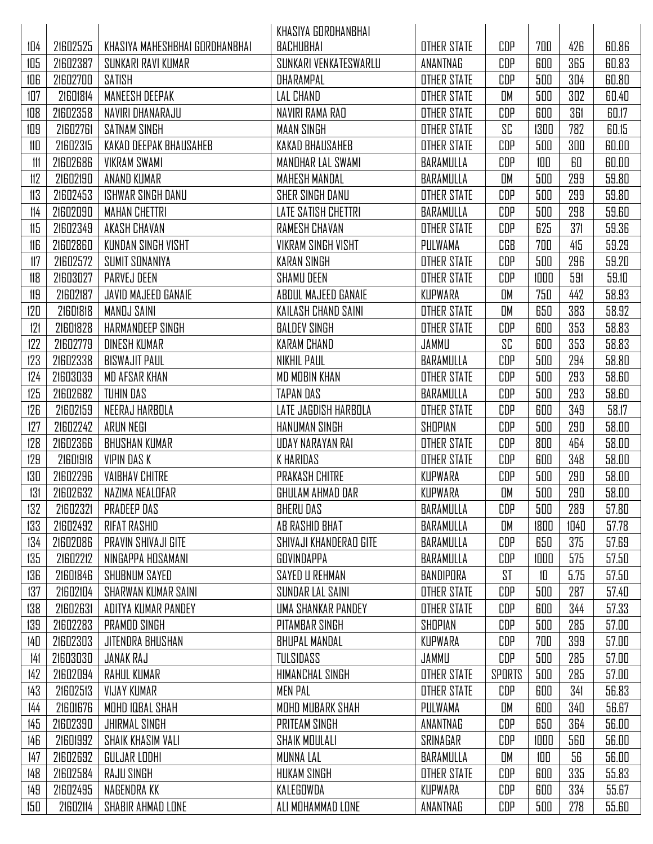|     |          |                                | KHASIYA GORDHANBHAI        |                    |        |      |      |       |
|-----|----------|--------------------------------|----------------------------|--------------------|--------|------|------|-------|
| 104 | 21602525 | KHASIYA MAHESHBHAI GORDHANBHAI | BACHUBHAI                  | <b>OTHER STATE</b> | CDP    | 700  | 426  | 60.86 |
| 105 | 21602387 | SUNKARI RAVI KUMAR             | SUNKARI VENKATESWARLU      | ANANTNAG           | CDP    | 600  | 365  | 60.83 |
| 106 | 21602700 | SATISH                         | DHARAMPAL                  | <b>OTHER STATE</b> | CDP    | 500  | 304  | 60.80 |
| 107 | 21601814 | MANEESH DEEPAK                 | <b>LAL CHAND</b>           | <b>OTHER STATE</b> | OM     | 500  | 302  | 60.40 |
| 108 | 21602358 | NAVIRI DHANARAJLI              | NAVIRI RAMA RAD            | <b>OTHER STATE</b> | CDP    | 600  | 361  | 60.17 |
| 109 | 21602761 | <b>SATNAM SINGH</b>            | <b>MAAN SINGH</b>          | <b>OTHER STATE</b> | SC     | 1300 | 782  | 60.15 |
| 110 | 21602315 | KAKAD DEEPAK BHAUSAHEB         | KAKAD BHAUSAHEB            | <b>OTHER STATE</b> | CDP    | 500  | 300  | 60.00 |
|     | 21602686 | <b>VIKRAM SWAMI</b>            | MANDHAR LAL SWAMI          | BARAMULLA          | CDP    | 100  | 60   | 60.00 |
| 112 | 21602190 | ANAND KUMAR                    | MAHESH MANDAL              | BARAMULLA          | OM     | 500  | 299  | 59.80 |
| 113 | 21602453 | <b>ISHWAR SINGH DANU</b>       | SHER SINGH DANU            | <b>OTHER STATE</b> | CDP    | 500  | 299  | 59.80 |
| 114 | 21602090 | <b>MAHAN CHETTRI</b>           | <b>LATE SATISH CHETTRI</b> | BARAMULLA          | CDP    | 500  | 298  | 59.60 |
| 115 | 21602349 | AKASH CHAVAN                   | <b>RAMESH CHAVAN</b>       | <b>OTHER STATE</b> | CDP    | 625  | 371  | 59.36 |
| 116 | 21602860 | KIINDAN SINGH VISHT            | <b>VIKRAM SINGH VISHT</b>  | PULWAMA            | CGB    | 700  | 415  | 59.29 |
| 117 | 21602572 | SUMIT SONANIYA                 | <b>KARAN SINGH</b>         | <b>OTHER STATE</b> | CDP    | 500  | 296  | 59.20 |
| 118 | 21603027 | PARVEJ DEEN                    | <b>SHAMU DEEN</b>          | <b>OTHER STATE</b> | CDP    | 1000 | 591  | 59.10 |
| 119 | 21602187 | JAVID MAJEED GANAIE            | ABDUL MAJEED GANAIE        | KUPWARA            | OM     | 750  | 442  | 58.93 |
| 120 | 21601818 | MANOJ SAINI                    | KAILASH CHAND SAINI        | <b>OTHER STATE</b> | OM     | 650  | 383  | 58.92 |
| 121 | 21601828 | HARMANDEEP SINGH               | <b>BALDEV SINGH</b>        | <b>OTHER STATE</b> | CDP    | 600  | 353  | 58.83 |
| 122 | 21602779 | DINESH KUMAR                   | <b>KARAM CHAND</b>         | JAMMU              | SC     | 600  | 353  | 58.83 |
| 123 | 21602338 | BISWAJIT PAUL                  | NIKHIL PAUL                | BARAMULLA          | CDP    | 500  | 294  | 58.80 |
| 124 | 21603039 | MD AFSAR KHAN                  | MD MOBIN KHAN              | <b>OTHER STATE</b> | CDP    | 500  | 293  | 58.60 |
| 125 | 21602682 | TUHIN DAS                      | TAPAN DAS                  | BARAMULLA          | CDP    | 500  | 293  | 58.60 |
| 126 | 21602159 | NEERAJ HARBOLA                 | LATE JAGDISH HARBOLA       | <b>OTHER STATE</b> | CDP    | 600  | 349  | 58.17 |
| 127 | 21602242 | ARUN NEGI                      | HANUMAN SINGH              | SHOPIAN            | CDP    | 500  | 290  | 58.00 |
| 128 | 21602366 | <b>BHUSHAN KUMAR</b>           | UDAY NARAYAN RAI           | <b>OTHER STATE</b> | CDP    | 800  | 464  | 58.00 |
| 129 | 21601918 | VIPIN DAS K                    | K HARIDAS                  | <b>OTHER STATE</b> | CDP    | 600  | 348  | 58.00 |
| 130 | 21602296 | <b>VAIBHAV CHITRE</b>          | <b>PRAKASH CHITRE</b>      | KUPWARA            | CDP    | 500  | 290  | 58.00 |
| 131 | 21602632 | NAZIMA NEALDFAR                | GHULAM AHMAD DAR           | KUPWARA            | OM     | 500  | 290  | 58.00 |
| 132 | 21602321 | PRADEEP DAS                    | <b>BHERU DAS</b>           | BARAMULLA          | CDP    | 500  | 289  | 57.80 |
| 133 | 21602492 | RIFAT RASHID                   | AB RASHID BHAT             | BARAMULLA          | OM     | 1800 | 1040 | 57.78 |
| 134 | 21602086 | PRAVIN SHIVAJI GITE            | SHIVAJI KHANDERAD GITE     | BARAMULLA          | CDP    | 650  | 375  | 57.69 |
| 135 | 21602212 | NINGAPPA HOSAMANI              | GOVINDAPPA                 | BARAMULLA          | CDP    | 1000 | 575  | 57.50 |
| 136 | 21601846 | SHUBNUM SAYED                  | SAYED U REHMAN             | BANDIPORA          | ST     | 10   | 5.75 | 57.50 |
| 137 | 21602104 | SHARWAN KUMAR SAINI            | SUNDAR LAL SAINI           | <b>OTHER STATE</b> | CDP    | 500  | 287  | 57.40 |
| 138 | 21602631 | ADITYA KUMAR PANDEY            | UMA SHANKAR PANDEY         | <b>OTHER STATE</b> | CDP    | 600  | 344  | 57.33 |
| 139 | 21602283 | PRAMOD SINGH                   | PITAMBAR SINGH             | SHOPIAN            | CDP    | 500  | 285  | 57.00 |
| 140 | 21602303 | JITENDRA BHUSHAN               | <b>BHUPAL MANDAL</b>       | KUPWARA            | CDP    | 700  | 399  | 57.00 |
| 141 | 21603030 | JANAK RAJ                      | <b>TULSIDASS</b>           | JAMMU              | CDP    | 500  | 285  | 57.00 |
| 142 | 21602094 | RAHUL KUMAR                    | HIMANCHAL SINGH            | <b>OTHER STATE</b> | SPORTS | 500  | 285  | 57.00 |
| 143 | 21602513 | VIJAY KUMAR                    | <b>MEN PAL</b>             | <b>OTHER STATE</b> | CDP    | 600  | 341  | 56.83 |
| 144 | 21601676 | MOHD IQBAL SHAH                | MOHD MUBARK SHAH           | PULWAMA            | OM     | 600  | 340  | 56.67 |
| 145 | 21602390 | <b>JHIRMAL SINGH</b>           | PRITEAM SINGH              | ANANTNAG           | CDP    | 650  | 364  | 56.00 |
| 146 | 21601992 | SHAIK KHASIM VALI              | SHAIK MOULALI              | SRINAGAR           | CDP    | 1000 | 560  | 56.00 |
| 147 | 21602692 | GULJAR LODHI                   | <b>MUNNA LAL</b>           | BARAMULLA          | OM     | 100  | 56   | 56.00 |
| 148 | 21602584 | <b>RAJU SINGH</b>              | HUKAM SINGH                | <b>OTHER STATE</b> | CDP    | 600  | 335  | 55.83 |
| 149 | 21602495 | NAGENDRA KK                    | KALEGOWDA                  | KUPWARA            | CDP    | 600  | 334  | 55.67 |
| 150 | 21602114 | SHABIR AHMAD LONE              | ALI MOHAMMAD LONE          | ANANTNAG           | CDP    | 500  | 278  | 55.60 |